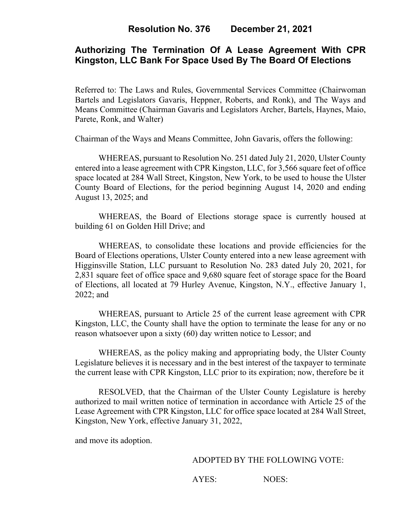## **Authorizing The Termination Of A Lease Agreement With CPR Kingston, LLC Bank For Space Used By The Board Of Elections**

Referred to: The Laws and Rules, Governmental Services Committee (Chairwoman Bartels and Legislators Gavaris, Heppner, Roberts, and Ronk), and The Ways and Means Committee (Chairman Gavaris and Legislators Archer, Bartels, Haynes, Maio, Parete, Ronk, and Walter)

Chairman of the Ways and Means Committee, John Gavaris, offers the following:

WHEREAS, pursuant to Resolution No. 251 dated July 21, 2020, Ulster County entered into a lease agreement with CPR Kingston, LLC, for 3,566 square feet of office space located at 284 Wall Street, Kingston, New York, to be used to house the Ulster County Board of Elections, for the period beginning August 14, 2020 and ending August 13, 2025; and

WHEREAS, the Board of Elections storage space is currently housed at building 61 on Golden Hill Drive; and

WHEREAS, to consolidate these locations and provide efficiencies for the Board of Elections operations, Ulster County entered into a new lease agreement with Higginsville Station, LLC pursuant to Resolution No. 283 dated July 20, 2021, for 2,831 square feet of office space and 9,680 square feet of storage space for the Board of Elections, all located at 79 Hurley Avenue, Kingston, N.Y., effective January 1, 2022; and

WHEREAS, pursuant to Article 25 of the current lease agreement with CPR Kingston, LLC, the County shall have the option to terminate the lease for any or no reason whatsoever upon a sixty (60) day written notice to Lessor; and

WHEREAS, as the policy making and appropriating body, the Ulster County Legislature believes it is necessary and in the best interest of the taxpayer to terminate the current lease with CPR Kingston, LLC prior to its expiration; now, therefore be it

RESOLVED, that the Chairman of the Ulster County Legislature is hereby authorized to mail written notice of termination in accordance with Article 25 of the Lease Agreement with CPR Kingston, LLC for office space located at 284 Wall Street, Kingston, New York, effective January 31, 2022,

and move its adoption.

#### ADOPTED BY THE FOLLOWING VOTE:

AYES: NOES: